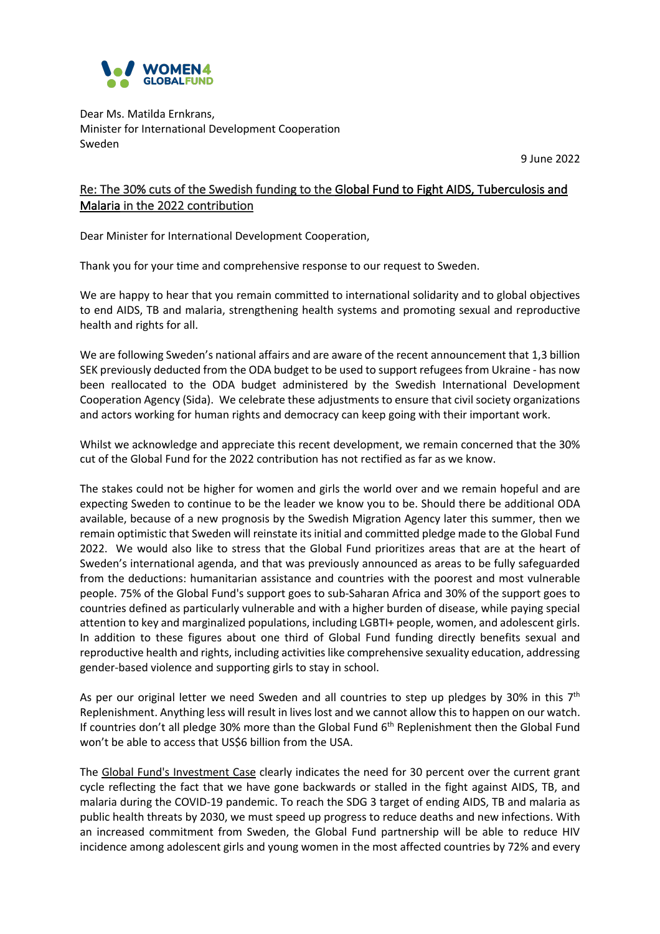

Dear Ms. Matilda Ernkrans, Minister for International Development Cooperation Sweden

9 June 2022

## Re: The 30% cuts of the Swedish funding to the Global Fund to Fight AIDS, Tuberculosis and Malaria in the 2022 contribution

Dear Minister for International Development Cooperation,

Thank you for your time and comprehensive response to our request to Sweden.

We are happy to hear that you remain committed to international solidarity and to global objectives to end AIDS, TB and malaria, strengthening health systems and promoting sexual and reproductive health and rights for all.

We are following Sweden's national affairs and are aware of the recent announcement that 1,3 billion SEK previously deducted from the ODA budget to be used to support refugees from Ukraine - has now been reallocated to the ODA budget administered by the Swedish International Development Cooperation Agency (Sida). We celebrate these adjustments to ensure that civil society organizations and actors working for human rights and democracy can keep going with their important work.

Whilst we acknowledge and appreciate this recent development, we remain concerned that the 30% cut of the Global Fund for the 2022 contribution has not rectified as far as we know.

The stakes could not be higher for women and girls the world over and we remain hopeful and are expecting Sweden to continue to be the leader we know you to be. Should there be additional ODA available, because of a new prognosis by the Swedish Migration Agency later this summer, then we remain optimistic that Sweden will reinstate its initial and committed pledge made to the Global Fund 2022. We would also like to stress that the Global Fund prioritizes areas that are at the heart of Sweden's international agenda, and that was previously announced as areas to be fully safeguarded from the deductions: humanitarian assistance and countries with the poorest and most vulnerable people. 75% of the Global Fund's support goes to sub-Saharan Africa and 30% of the support goes to countries defined as particularly vulnerable and with a higher burden of disease, while paying special attention to key and marginalized populations, including LGBTI+ people, women, and adolescent girls. In addition to these figures about one third of Global Fund funding directly benefits sexual and reproductive health and rights, including activities like comprehensive sexuality education, addressing gender-based violence and supporting girls to stay in school.

As per our original letter we need Sweden and all countries to step up pledges by 30% in this  $7<sup>th</sup>$ Replenishment. Anything less will result in lives lost and we cannot allow this to happen on our watch. If countries don't all pledge 30% more than the Global Fund 6<sup>th</sup> Replenishment then the Global Fund won't be able to access that US\$6 billion from the USA.

The Global Fund's Investment Case clearly indicates the need for 30 percent over the current grant cycle reflecting the fact that we have gone backwards or stalled in the fight against AIDS, TB, and malaria during the COVID-19 pandemic. To reach the SDG 3 target of ending AIDS, TB and malaria as public health threats by 2030, we must speed up progress to reduce deaths and new infections. With an increased commitment from Sweden, the Global Fund partnership will be able to reduce HIV incidence among adolescent girls and young women in the most affected countries by 72% and every